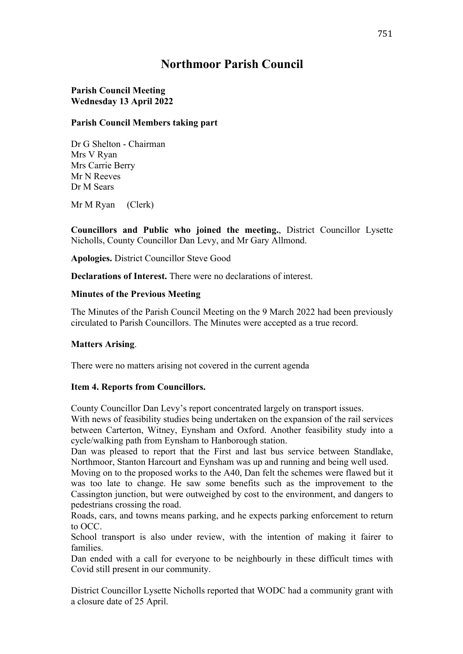# **Northmoor Parish Council**

## **Parish Council Meeting Wednesday 13 April 2022**

## **Parish Council Members taking part**

Dr G Shelton - Chairman Mrs V Ryan Mrs Carrie Berry Mr N Reeves Dr M Sears

Mr M Ryan (Clerk)

**Councillors and Public who joined the meeting.**, District Councillor Lysette Nicholls, County Councillor Dan Levy, and Mr Gary Allmond.

**Apologies.** District Councillor Steve Good

**Declarations of Interest.** There were no declarations of interest.

## **Minutes of the Previous Meeting**

The Minutes of the Parish Council Meeting on the 9 March 2022 had been previously circulated to Parish Councillors. The Minutes were accepted as a true record.

## **Matters Arising**.

There were no matters arising not covered in the current agenda

#### **Item 4. Reports from Councillors.**

County Councillor Dan Levy's report concentrated largely on transport issues.

With news of feasibility studies being undertaken on the expansion of the rail services between Carterton, Witney, Eynsham and Oxford. Another feasibility study into a cycle/walking path from Eynsham to Hanborough station.

Dan was pleased to report that the First and last bus service between Standlake, Northmoor, Stanton Harcourt and Eynsham was up and running and being well used.

Moving on to the proposed works to the A40, Dan felt the schemes were flawed but it was too late to change. He saw some benefits such as the improvement to the Cassington junction, but were outweighed by cost to the environment, and dangers to pedestrians crossing the road.

Roads, cars, and towns means parking, and he expects parking enforcement to return to OCC.

School transport is also under review, with the intention of making it fairer to families.

Dan ended with a call for everyone to be neighbourly in these difficult times with Covid still present in our community.

District Councillor Lysette Nicholls reported that WODC had a community grant with a closure date of 25 April.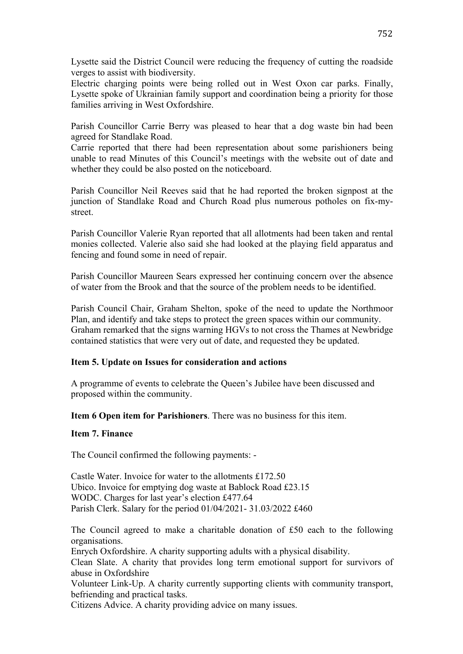Lysette said the District Council were reducing the frequency of cutting the roadside verges to assist with biodiversity.

Electric charging points were being rolled out in West Oxon car parks. Finally, Lysette spoke of Ukrainian family support and coordination being a priority for those families arriving in West Oxfordshire.

Parish Councillor Carrie Berry was pleased to hear that a dog waste bin had been agreed for Standlake Road.

Carrie reported that there had been representation about some parishioners being unable to read Minutes of this Council's meetings with the website out of date and whether they could be also posted on the noticeboard.

Parish Councillor Neil Reeves said that he had reported the broken signpost at the junction of Standlake Road and Church Road plus numerous potholes on fix-mystreet.

Parish Councillor Valerie Ryan reported that all allotments had been taken and rental monies collected. Valerie also said she had looked at the playing field apparatus and fencing and found some in need of repair.

Parish Councillor Maureen Sears expressed her continuing concern over the absence of water from the Brook and that the source of the problem needs to be identified.

Parish Council Chair, Graham Shelton, spoke of the need to update the Northmoor Plan, and identify and take steps to protect the green spaces within our community. Graham remarked that the signs warning HGVs to not cross the Thames at Newbridge contained statistics that were very out of date, and requested they be updated.

#### **Item 5. Update on Issues for consideration and actions**

A programme of events to celebrate the Queen's Jubilee have been discussed and proposed within the community.

**Item 6 Open item for Parishioners**. There was no business for this item.

#### **Item 7. Finance**

The Council confirmed the following payments: -

Castle Water. Invoice for water to the allotments £172.50 Ubico. Invoice for emptying dog waste at Bablock Road £23.15 WODC. Charges for last year's election £477.64 Parish Clerk. Salary for the period 01/04/2021- 31.03/2022 £460

The Council agreed to make a charitable donation of £50 each to the following organisations.

Enrych Oxfordshire. A charity supporting adults with a physical disability.

Clean Slate. A charity that provides long term emotional support for survivors of abuse in Oxfordshire

Volunteer Link-Up. A charity currently supporting clients with community transport, befriending and practical tasks.

Citizens Advice. A charity providing advice on many issues.